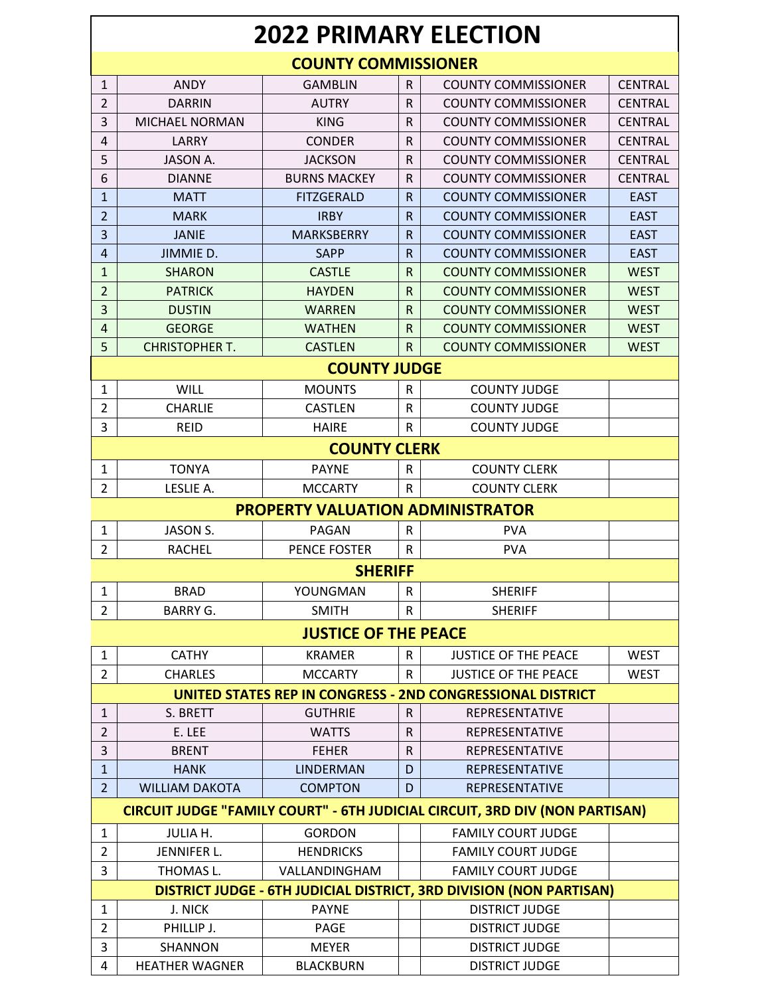|                | <b>2022 PRIMARY ELECTION</b> |                                         |              |                                                                             |                |  |  |
|----------------|------------------------------|-----------------------------------------|--------------|-----------------------------------------------------------------------------|----------------|--|--|
|                | <b>COUNTY COMMISSIONER</b>   |                                         |              |                                                                             |                |  |  |
| $\mathbf{1}$   | <b>ANDY</b>                  | <b>GAMBLIN</b>                          | R.           | <b>COUNTY COMMISSIONER</b>                                                  | <b>CENTRAL</b> |  |  |
| $\overline{2}$ | DARRIN                       | <b>AUTRY</b>                            | R            | <b>COUNTY COMMISSIONER</b>                                                  | <b>CENTRAL</b> |  |  |
| 3              | <b>MICHAEL NORMAN</b>        | <b>KING</b>                             | R            | <b>COUNTY COMMISSIONER</b>                                                  | <b>CENTRAL</b> |  |  |
| 4              | LARRY                        | <b>CONDER</b>                           | R            | <b>COUNTY COMMISSIONER</b>                                                  | <b>CENTRAL</b> |  |  |
| 5              | JASON A.                     | <b>JACKSON</b>                          | R            | <b>COUNTY COMMISSIONER</b>                                                  | <b>CENTRAL</b> |  |  |
| 6              | <b>DIANNE</b>                | <b>BURNS MACKEY</b>                     | R            | <b>COUNTY COMMISSIONER</b>                                                  | <b>CENTRAL</b> |  |  |
| $\mathbf{1}$   | <b>MATT</b>                  | <b>FITZGERALD</b>                       | $\mathsf{R}$ | <b>COUNTY COMMISSIONER</b>                                                  | <b>EAST</b>    |  |  |
| $\overline{2}$ | <b>MARK</b>                  | <b>IRBY</b>                             | $\mathsf{R}$ | <b>COUNTY COMMISSIONER</b>                                                  | <b>EAST</b>    |  |  |
| 3              | <b>JANIE</b>                 | <b>MARKSBERRY</b>                       | $\mathsf{R}$ | <b>COUNTY COMMISSIONER</b>                                                  | <b>EAST</b>    |  |  |
| $\overline{4}$ | JIMMIE D.                    | <b>SAPP</b>                             | $\mathsf{R}$ | <b>COUNTY COMMISSIONER</b>                                                  | <b>EAST</b>    |  |  |
| $\mathbf{1}$   | <b>SHARON</b>                | <b>CASTLE</b>                           | R            | <b>COUNTY COMMISSIONER</b>                                                  | <b>WEST</b>    |  |  |
| $\overline{2}$ | <b>PATRICK</b>               | <b>HAYDEN</b>                           | $\mathsf{R}$ | <b>COUNTY COMMISSIONER</b>                                                  | <b>WEST</b>    |  |  |
| 3              | <b>DUSTIN</b>                | <b>WARREN</b>                           | $\mathsf{R}$ | <b>COUNTY COMMISSIONER</b>                                                  | <b>WEST</b>    |  |  |
| $\overline{4}$ | <b>GEORGE</b>                | <b>WATHEN</b>                           | $\mathsf{R}$ | <b>COUNTY COMMISSIONER</b>                                                  | <b>WEST</b>    |  |  |
| 5              | <b>CHRISTOPHER T.</b>        | <b>CASTLEN</b>                          | R.           | <b>COUNTY COMMISSIONER</b>                                                  | <b>WEST</b>    |  |  |
|                |                              | <b>COUNTY JUDGE</b>                     |              |                                                                             |                |  |  |
| 1              | <b>WILL</b>                  | <b>MOUNTS</b>                           | ${\sf R}$    | <b>COUNTY JUDGE</b>                                                         |                |  |  |
| $\overline{2}$ | <b>CHARLIE</b>               | <b>CASTLEN</b>                          | R            | <b>COUNTY JUDGE</b>                                                         |                |  |  |
| 3              | <b>REID</b>                  | <b>HAIRE</b>                            | R            | <b>COUNTY JUDGE</b>                                                         |                |  |  |
|                |                              | <b>COUNTY CLERK</b>                     |              |                                                                             |                |  |  |
| 1              | <b>TONYA</b>                 | <b>PAYNE</b>                            | R            | <b>COUNTY CLERK</b>                                                         |                |  |  |
| $\overline{2}$ | LESLIE A.                    | <b>MCCARTY</b>                          | R            | <b>COUNTY CLERK</b>                                                         |                |  |  |
|                |                              | <b>PROPERTY VALUATION ADMINISTRATOR</b> |              |                                                                             |                |  |  |
| $\mathbf{1}$   | <b>JASON S.</b>              | PAGAN                                   | R            | <b>PVA</b>                                                                  |                |  |  |
| $\overline{2}$ | <b>RACHEL</b>                | <b>PENCE FOSTER</b>                     | R            | <b>PVA</b>                                                                  |                |  |  |
|                |                              | <b>SHERIFF</b>                          |              |                                                                             |                |  |  |
| $\mathbf{1}$   | <b>BRAD</b>                  | YOUNGMAN                                | ${\sf R}$    | <b>SHERIFF</b>                                                              |                |  |  |
| $\overline{2}$ | <b>BARRY G.</b>              | <b>SMITH</b>                            | R            | <b>SHERIFF</b>                                                              |                |  |  |
|                |                              | <b>JUSTICE OF THE PEACE</b>             |              |                                                                             |                |  |  |
| $\mathbf{1}$   | <b>CATHY</b>                 | <b>KRAMER</b>                           | $\mathsf R$  | <b>JUSTICE OF THE PEACE</b>                                                 | <b>WEST</b>    |  |  |
| $\overline{2}$ | <b>CHARLES</b>               | <b>MCCARTY</b>                          | R            | <b>JUSTICE OF THE PEACE</b>                                                 | <b>WEST</b>    |  |  |
|                |                              |                                         |              | UNITED STATES REP IN CONGRESS - 2ND CONGRESSIONAL DISTRICT                  |                |  |  |
| $\mathbf{1}$   | S. BRETT                     | <b>GUTHRIE</b>                          | R            | <b>REPRESENTATIVE</b>                                                       |                |  |  |
| $\overline{2}$ | E. LEE                       | <b>WATTS</b>                            | R            | REPRESENTATIVE                                                              |                |  |  |
| 3              | <b>BRENT</b>                 | <b>FEHER</b>                            | R            | <b>REPRESENTATIVE</b>                                                       |                |  |  |
| $\mathbf{1}$   | <b>HANK</b>                  | <b>LINDERMAN</b>                        | D            | REPRESENTATIVE                                                              |                |  |  |
| $\overline{2}$ | <b>WILLIAM DAKOTA</b>        | <b>COMPTON</b>                          | D            | REPRESENTATIVE                                                              |                |  |  |
|                |                              |                                         |              | CIRCUIT JUDGE "FAMILY COURT" - 6TH JUDICIAL CIRCUIT, 3RD DIV (NON PARTISAN) |                |  |  |
| 1              | JULIA H.                     | <b>GORDON</b>                           |              | <b>FAMILY COURT JUDGE</b>                                                   |                |  |  |
| $\overline{2}$ | JENNIFER L.                  | <b>HENDRICKS</b>                        |              | <b>FAMILY COURT JUDGE</b>                                                   |                |  |  |
| 3              | THOMAS L.                    | VALLANDINGHAM                           |              | <b>FAMILY COURT JUDGE</b>                                                   |                |  |  |
|                |                              |                                         |              | DISTRICT JUDGE - 6TH JUDICIAL DISTRICT, 3RD DIVISION (NON PARTISAN)         |                |  |  |
| $\mathbf{1}$   | J. NICK                      | <b>PAYNE</b>                            |              | <b>DISTRICT JUDGE</b>                                                       |                |  |  |
| $\overline{2}$ | PHILLIP J.                   | <b>PAGE</b>                             |              | <b>DISTRICT JUDGE</b>                                                       |                |  |  |
|                |                              |                                         |              |                                                                             |                |  |  |
| 3              | SHANNON                      | <b>MEYER</b>                            |              | <b>DISTRICT JUDGE</b>                                                       |                |  |  |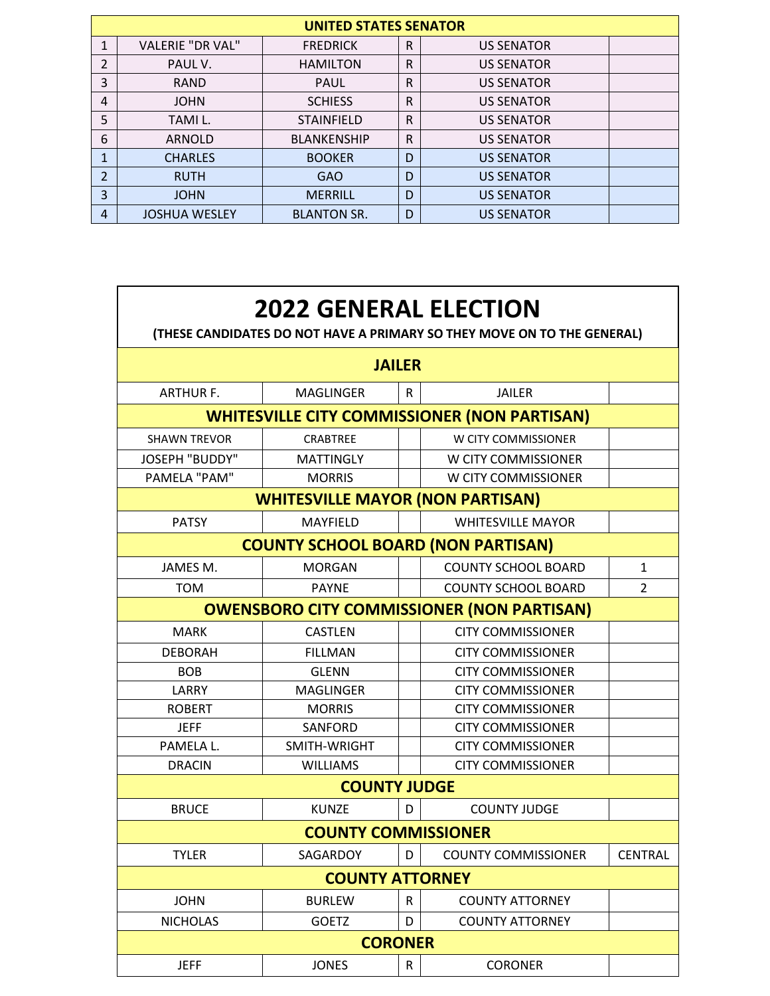| <b>UNITED STATES SENATOR</b> |                         |                    |              |                   |  |  |
|------------------------------|-------------------------|--------------------|--------------|-------------------|--|--|
| 1                            | <b>VALERIE "DR VAL"</b> | <b>FREDRICK</b>    | $\mathsf{R}$ | <b>US SENATOR</b> |  |  |
| 2                            | PAUL V.                 | <b>HAMILTON</b>    | R            | <b>US SENATOR</b> |  |  |
| 3                            | <b>RAND</b>             | <b>PAUL</b>        | $\mathsf{R}$ | <b>US SENATOR</b> |  |  |
| 4                            | <b>JOHN</b>             | <b>SCHIESS</b>     | $\mathsf{R}$ | <b>US SENATOR</b> |  |  |
| 5                            | TAMI L.                 | <b>STAINFIELD</b>  | $\mathsf{R}$ | <b>US SENATOR</b> |  |  |
| 6                            | <b>ARNOLD</b>           | <b>BLANKENSHIP</b> | $\mathsf{R}$ | <b>US SENATOR</b> |  |  |
| 1                            | <b>CHARLES</b>          | <b>BOOKER</b>      | D            | <b>US SENATOR</b> |  |  |
| $\overline{2}$               | <b>RUTH</b>             | <b>GAO</b>         | D            | <b>US SENATOR</b> |  |  |
| 3                            | <b>JOHN</b>             | <b>MERRILL</b>     | D            | <b>US SENATOR</b> |  |  |
| 4                            | <b>JOSHUA WESLEY</b>    | <b>BLANTON SR.</b> | D            | <b>US SENATOR</b> |  |  |

| <b>2022 GENERAL ELECTION</b><br>(THESE CANDIDATES DO NOT HAVE A PRIMARY SO THEY MOVE ON TO THE GENERAL) |                                         |   |                                                   |                |  |  |
|---------------------------------------------------------------------------------------------------------|-----------------------------------------|---|---------------------------------------------------|----------------|--|--|
| <b>JAILER</b>                                                                                           |                                         |   |                                                   |                |  |  |
| <b>ARTHUR F.</b>                                                                                        | <b>MAGLINGER</b>                        | R | <b>JAILER</b>                                     |                |  |  |
| <b>WHITESVILLE CITY COMMISSIONER (NON PARTISAN)</b>                                                     |                                         |   |                                                   |                |  |  |
| <b>SHAWN TREVOR</b>                                                                                     | <b>CRABTREE</b>                         |   | W CITY COMMISSIONER                               |                |  |  |
| <b>JOSEPH "BUDDY"</b>                                                                                   | <b>MATTINGLY</b>                        |   | W CITY COMMISSIONER                               |                |  |  |
| PAMELA "PAM"                                                                                            | <b>MORRIS</b>                           |   | W CITY COMMISSIONER                               |                |  |  |
|                                                                                                         | <b>WHITESVILLE MAYOR (NON PARTISAN)</b> |   |                                                   |                |  |  |
| <b>PATSY</b>                                                                                            | MAYFIELD                                |   | <b>WHITESVILLE MAYOR</b>                          |                |  |  |
| <b>COUNTY SCHOOL BOARD (NON PARTISAN)</b>                                                               |                                         |   |                                                   |                |  |  |
| JAMES M.                                                                                                | <b>MORGAN</b>                           |   | <b>COUNTY SCHOOL BOARD</b>                        | 1              |  |  |
| <b>TOM</b>                                                                                              | <b>PAYNE</b>                            |   | <b>COUNTY SCHOOL BOARD</b>                        | $\mathcal{P}$  |  |  |
|                                                                                                         |                                         |   | <b>OWENSBORO CITY COMMISSIONER (NON PARTISAN)</b> |                |  |  |
| <b>MARK</b>                                                                                             | <b>CASTLEN</b>                          |   | <b>CITY COMMISSIONER</b>                          |                |  |  |
| <b>DEBORAH</b>                                                                                          | <b>FILLMAN</b>                          |   | <b>CITY COMMISSIONER</b>                          |                |  |  |
| <b>BOB</b>                                                                                              | <b>GLENN</b>                            |   | <b>CITY COMMISSIONER</b>                          |                |  |  |
| LARRY                                                                                                   | <b>MAGLINGER</b>                        |   | <b>CITY COMMISSIONER</b>                          |                |  |  |
| <b>ROBERT</b>                                                                                           | <b>MORRIS</b>                           |   | <b>CITY COMMISSIONER</b>                          |                |  |  |
| <b>JEFF</b>                                                                                             | <b>SANFORD</b>                          |   | <b>CITY COMMISSIONER</b>                          |                |  |  |
| PAMELA L.                                                                                               | SMITH-WRIGHT                            |   | <b>CITY COMMISSIONER</b>                          |                |  |  |
| <b>DRACIN</b>                                                                                           | <b>WILLIAMS</b>                         |   | <b>CITY COMMISSIONER</b>                          |                |  |  |
|                                                                                                         | <b>COUNTY JUDGE</b>                     |   |                                                   |                |  |  |
| <b>BRUCE</b>                                                                                            | <b>KUNZE</b>                            | D | <b>COUNTY JUDGE</b>                               |                |  |  |
| <b>COUNTY COMMISSIONER</b>                                                                              |                                         |   |                                                   |                |  |  |
| <b>TYLER</b>                                                                                            | SAGARDOY                                | D | <b>COUNTY COMMISSIONER</b>                        | <b>CENTRAL</b> |  |  |
| <b>COUNTY ATTORNEY</b>                                                                                  |                                         |   |                                                   |                |  |  |
| <b>JOHN</b>                                                                                             | <b>BURLEW</b>                           | R | <b>COUNTY ATTORNEY</b>                            |                |  |  |
| <b>NICHOLAS</b>                                                                                         | <b>GOETZ</b>                            | D | <b>COUNTY ATTORNEY</b>                            |                |  |  |
| <b>CORONER</b>                                                                                          |                                         |   |                                                   |                |  |  |
| <b>JEFF</b>                                                                                             | <b>JONES</b>                            | R | <b>CORONER</b>                                    |                |  |  |